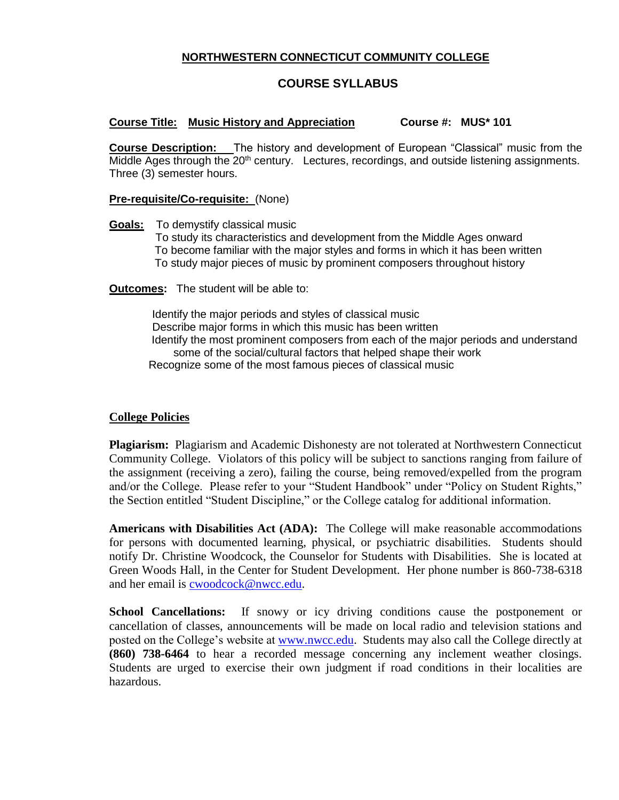## **NORTHWESTERN CONNECTICUT COMMUNITY COLLEGE**

# **COURSE SYLLABUS**

## **Course Title: Music History and Appreciation Course #: MUS\* 101**

**Course Description:** The history and development of European "Classical" music from the Middle Ages through the 20<sup>th</sup> century. Lectures, recordings, and outside listening assignments. Three (3) semester hours.

#### **Pre-requisite/Co-requisite:** (None)

**Goals:** To demystify classical music

 To study its characteristics and development from the Middle Ages onward To become familiar with the major styles and forms in which it has been written To study major pieces of music by prominent composers throughout history

**Outcomes:** The student will be able to:

 Identify the major periods and styles of classical music Describe major forms in which this music has been written Identify the most prominent composers from each of the major periods and understand some of the social/cultural factors that helped shape their work Recognize some of the most famous pieces of classical music

#### **College Policies**

**Plagiarism:** Plagiarism and Academic Dishonesty are not tolerated at Northwestern Connecticut Community College. Violators of this policy will be subject to sanctions ranging from failure of the assignment (receiving a zero), failing the course, being removed/expelled from the program and/or the College. Please refer to your "Student Handbook" under "Policy on Student Rights," the Section entitled "Student Discipline," or the College catalog for additional information.

**Americans with Disabilities Act (ADA):** The College will make reasonable accommodations for persons with documented learning, physical, or psychiatric disabilities. Students should notify Dr. Christine Woodcock, the Counselor for Students with Disabilities. She is located at Green Woods Hall, in the Center for Student Development. Her phone number is 860-738-6318 and her email is [cwoodcock@nwcc.edu.](mailto:cwoodcock@nwcc.edu)

**School Cancellations:** If snowy or icy driving conditions cause the postponement or cancellation of classes, announcements will be made on local radio and television stations and posted on the College's website at [www.nwcc.edu.](http://www.nwcc.edu/) Students may also call the College directly at **(860) 738-6464** to hear a recorded message concerning any inclement weather closings. Students are urged to exercise their own judgment if road conditions in their localities are hazardous.